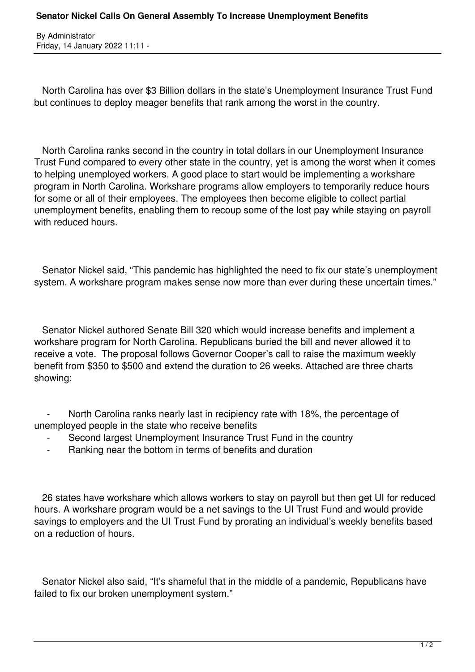By Administrator Friday, 14 January 2022 11:11 -

 North Carolina has over \$3 Billion dollars in the state's Unemployment Insurance Trust Fund but continues to deploy meager benefits that rank among the worst in the country.

 North Carolina ranks second in the country in total dollars in our Unemployment Insurance Trust Fund compared to every other state in the country, yet is among the worst when it comes to helping unemployed workers. A good place to start would be implementing a workshare program in North Carolina. Workshare programs allow employers to temporarily reduce hours for some or all of their employees. The employees then become eligible to collect partial unemployment benefits, enabling them to recoup some of the lost pay while staying on payroll with reduced hours.

 Senator Nickel said, "This pandemic has highlighted the need to fix our state's unemployment system. A workshare program makes sense now more than ever during these uncertain times."

 Senator Nickel authored Senate Bill 320 which would increase benefits and implement a workshare program for North Carolina. Republicans buried the bill and never allowed it to receive a vote. The proposal follows Governor Cooper's call to raise the maximum weekly benefit from \$350 to \$500 and extend the duration to 26 weeks. Attached are three charts showing:

North Carolina ranks nearly last in recipiency rate with 18%, the percentage of unemployed people in the state who receive benefits

- Second largest Unemployment Insurance Trust Fund in the country
- Ranking near the bottom in terms of benefits and duration

 26 states have workshare which allows workers to stay on payroll but then get UI for reduced hours. A workshare program would be a net savings to the UI Trust Fund and would provide savings to employers and the UI Trust Fund by prorating an individual's weekly benefits based on a reduction of hours.

 Senator Nickel also said, "It's shameful that in the middle of a pandemic, Republicans have failed to fix our broken unemployment system."